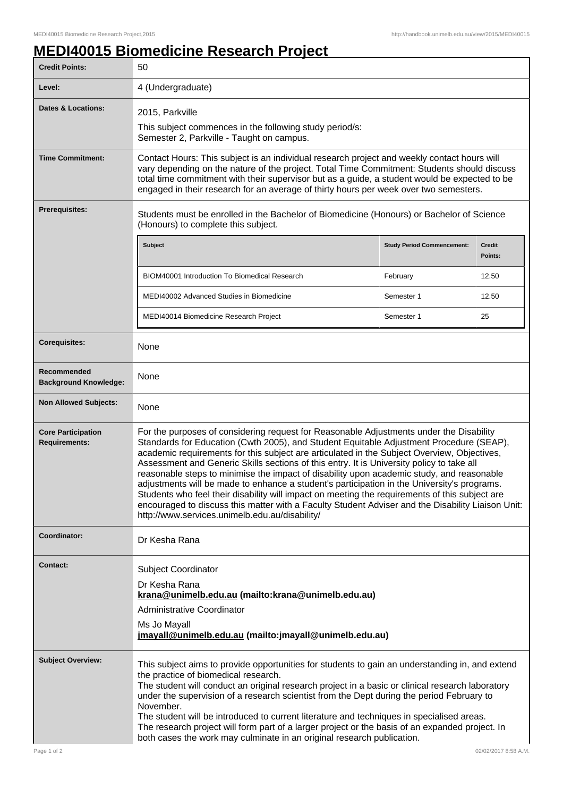## **MEDI40015 Biomedicine Research Project**

| <b>Credit Points:</b>                             | 50                                                                                                                                                                                                                                                                                                                                                                                                                                                                                                                                                                                                                                                                                                                                                                                                                                  |                                   |                   |
|---------------------------------------------------|-------------------------------------------------------------------------------------------------------------------------------------------------------------------------------------------------------------------------------------------------------------------------------------------------------------------------------------------------------------------------------------------------------------------------------------------------------------------------------------------------------------------------------------------------------------------------------------------------------------------------------------------------------------------------------------------------------------------------------------------------------------------------------------------------------------------------------------|-----------------------------------|-------------------|
| Level:                                            | 4 (Undergraduate)                                                                                                                                                                                                                                                                                                                                                                                                                                                                                                                                                                                                                                                                                                                                                                                                                   |                                   |                   |
| <b>Dates &amp; Locations:</b>                     | 2015, Parkville<br>This subject commences in the following study period/s:                                                                                                                                                                                                                                                                                                                                                                                                                                                                                                                                                                                                                                                                                                                                                          |                                   |                   |
|                                                   | Semester 2, Parkville - Taught on campus.                                                                                                                                                                                                                                                                                                                                                                                                                                                                                                                                                                                                                                                                                                                                                                                           |                                   |                   |
| <b>Time Commitment:</b>                           | Contact Hours: This subject is an individual research project and weekly contact hours will<br>vary depending on the nature of the project. Total Time Commitment: Students should discuss<br>total time commitment with their supervisor but as a guide, a student would be expected to be<br>engaged in their research for an average of thirty hours per week over two semesters.                                                                                                                                                                                                                                                                                                                                                                                                                                                |                                   |                   |
| <b>Prerequisites:</b>                             | Students must be enrolled in the Bachelor of Biomedicine (Honours) or Bachelor of Science<br>(Honours) to complete this subject.                                                                                                                                                                                                                                                                                                                                                                                                                                                                                                                                                                                                                                                                                                    |                                   |                   |
|                                                   | <b>Subject</b>                                                                                                                                                                                                                                                                                                                                                                                                                                                                                                                                                                                                                                                                                                                                                                                                                      | <b>Study Period Commencement:</b> | Credit<br>Points: |
|                                                   | <b>BIOM40001 Introduction To Biomedical Research</b>                                                                                                                                                                                                                                                                                                                                                                                                                                                                                                                                                                                                                                                                                                                                                                                | February                          | 12.50             |
|                                                   | MEDI40002 Advanced Studies in Biomedicine                                                                                                                                                                                                                                                                                                                                                                                                                                                                                                                                                                                                                                                                                                                                                                                           | Semester 1                        | 12.50             |
|                                                   | MEDI40014 Biomedicine Research Project                                                                                                                                                                                                                                                                                                                                                                                                                                                                                                                                                                                                                                                                                                                                                                                              | Semester 1                        | 25                |
| <b>Corequisites:</b>                              | None                                                                                                                                                                                                                                                                                                                                                                                                                                                                                                                                                                                                                                                                                                                                                                                                                                |                                   |                   |
| Recommended<br><b>Background Knowledge:</b>       | None                                                                                                                                                                                                                                                                                                                                                                                                                                                                                                                                                                                                                                                                                                                                                                                                                                |                                   |                   |
| <b>Non Allowed Subjects:</b>                      | None                                                                                                                                                                                                                                                                                                                                                                                                                                                                                                                                                                                                                                                                                                                                                                                                                                |                                   |                   |
| <b>Core Participation</b><br><b>Requirements:</b> | For the purposes of considering request for Reasonable Adjustments under the Disability<br>Standards for Education (Cwth 2005), and Student Equitable Adjustment Procedure (SEAP),<br>academic requirements for this subject are articulated in the Subject Overview, Objectives,<br>Assessment and Generic Skills sections of this entry. It is University policy to take all<br>reasonable steps to minimise the impact of disability upon academic study, and reasonable<br>adjustments will be made to enhance a student's participation in the University's programs.<br>Students who feel their disability will impact on meeting the requirements of this subject are<br>encouraged to discuss this matter with a Faculty Student Adviser and the Disability Liaison Unit:<br>http://www.services.unimelb.edu.au/disability/ |                                   |                   |
| Coordinator:                                      | Dr Kesha Rana                                                                                                                                                                                                                                                                                                                                                                                                                                                                                                                                                                                                                                                                                                                                                                                                                       |                                   |                   |
| <b>Contact:</b>                                   | <b>Subject Coordinator</b><br>Dr Kesha Rana<br>krana@unimelb.edu.au (mailto:krana@unimelb.edu.au)<br>Administrative Coordinator<br>Ms Jo Mayall<br>jmayall@unimelb.edu.au (mailto: jmayall@unimelb.edu.au)                                                                                                                                                                                                                                                                                                                                                                                                                                                                                                                                                                                                                          |                                   |                   |
| <b>Subject Overview:</b>                          | This subject aims to provide opportunities for students to gain an understanding in, and extend<br>the practice of biomedical research.<br>The student will conduct an original research project in a basic or clinical research laboratory<br>under the supervision of a research scientist from the Dept during the period February to<br>November.<br>The student will be introduced to current literature and techniques in specialised areas.<br>The research project will form part of a larger project or the basis of an expanded project. In<br>both cases the work may culminate in an original research publication.                                                                                                                                                                                                     |                                   |                   |